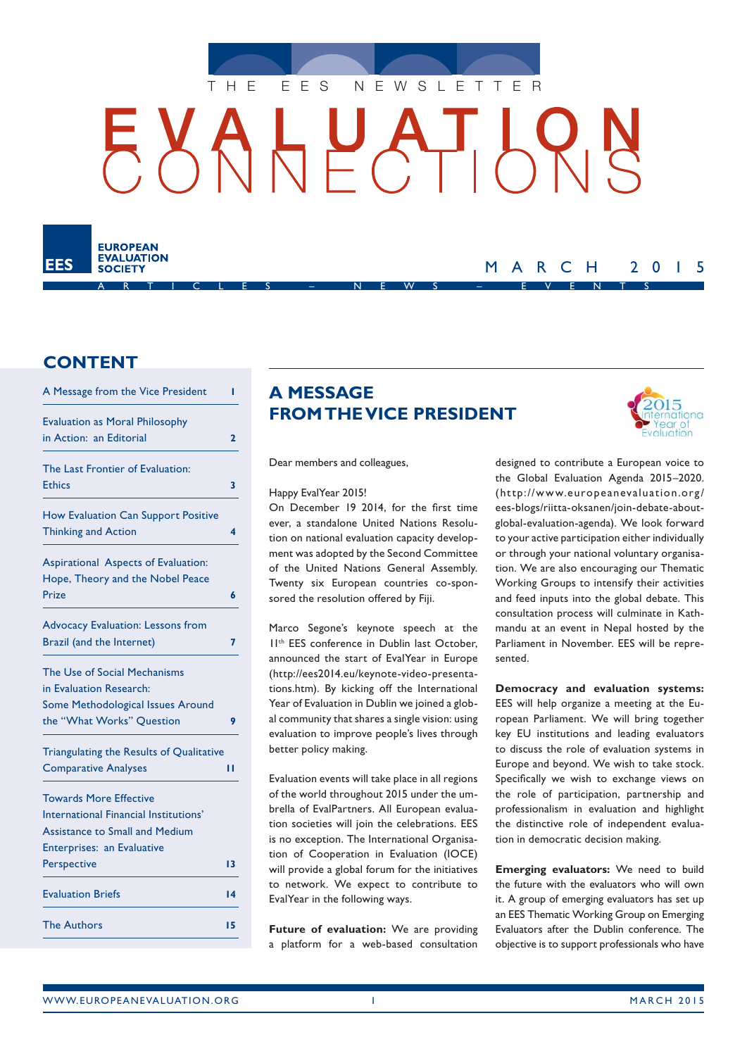

# HUA ┌┚╷┝╸



# MARCH 2015

## **CONTENT**

| A Message from the Vice President          | ı              |
|--------------------------------------------|----------------|
| <b>Evaluation as Moral Philosophy</b>      |                |
| in Action: an Editorial                    | $\overline{2}$ |
| The Last Frontier of Evaluation:           |                |
| <b>Ethics</b>                              | 3              |
| <b>How Evaluation Can Support Positive</b> |                |
| <b>Thinking and Action</b>                 | 4              |
| Aspirational Aspects of Evaluation:        |                |
| Hope, Theory and the Nobel Peace           |                |
| Prize                                      | 6              |
| <b>Advocacy Evaluation: Lessons from</b>   |                |
| Brazil (and the Internet)                  | 7              |
| The Use of Social Mechanisms               |                |
| in Evaluation Research:                    |                |
| Some Methodological Issues Around          |                |
| the "What Works" Question                  | 9              |
| Triangulating the Results of Qualitative   |                |
| <b>Comparative Analyses</b>                | п              |
| <b>Towards More Effective</b>              |                |
| International Financial Institutions'      |                |
| <b>Assistance to Small and Medium</b>      |                |
| <b>Enterprises: an Evaluative</b>          |                |
| Perspective                                | 13             |
| <b>Evaluation Briefs</b>                   | 14             |
| <b>The Authors</b>                         | 15             |
|                                            |                |

# **A MESSAGE FROM THE VICE PRESIDENT**



Dear members and colleagues,

Happy EvalYear 2015!

On December 19 2014, for the first time ever, a standalone United Nations Resolution on national evaluation capacity development was adopted by the Second Committee of the United Nations General Assembly. Twenty six European countries co-sponsored the resolution offered by Fiji.

Marco Segone's keynote speech at the II<sup>th</sup> EES conference in Dublin last October, announced the start of EvalYear in Europe (http://ees2014.eu/keynote-video-presentations.htm). By kicking off the International Year of Evaluation in Dublin we joined a global community that shares a single vision: using evaluation to improve people's lives through better policy making.

Evaluation events will take place in all regions of the world throughout 2015 under the umbrella of EvalPartners. All European evaluation societies will join the celebrations. EES is no exception. The International Organisation of Cooperation in Evaluation (IOCE) will provide a global forum for the initiatives to network. We expect to contribute to EvalYear in the following ways.

**Future of evaluation:** We are providing a platform for a web-based consultation designed to contribute a European voice to the Global Evaluation Agenda 2015–2020. (http://www.europeanevaluation.org/ ees-blogs/riitta- oksanen/join-debate-aboutglobal- evaluation-agenda). We look forward to your active participation either individually or through your national voluntary organisation. We are also encouraging our Thematic Working Groups to intensify their activities and feed inputs into the global debate. This consultation process will culminate in Kathmandu at an event in Nepal hosted by the Parliament in November. EES will be represented.

**Democracy and evaluation systems:** EES will help organize a meeting at the European Parliament. We will bring together key EU institutions and leading evaluators to discuss the role of evaluation systems in Europe and beyond. We wish to take stock. Specifically we wish to exchange views on the role of participation, partnership and professionalism in evaluation and highlight the distinctive role of independent evaluation in democratic decision making.

**Emerging evaluators:** We need to build the future with the evaluators who will own it. A group of emerging evaluators has set up an EES Thematic Working Group on Emerging Evaluators after the Dublin conference. The objective is to support professionals who have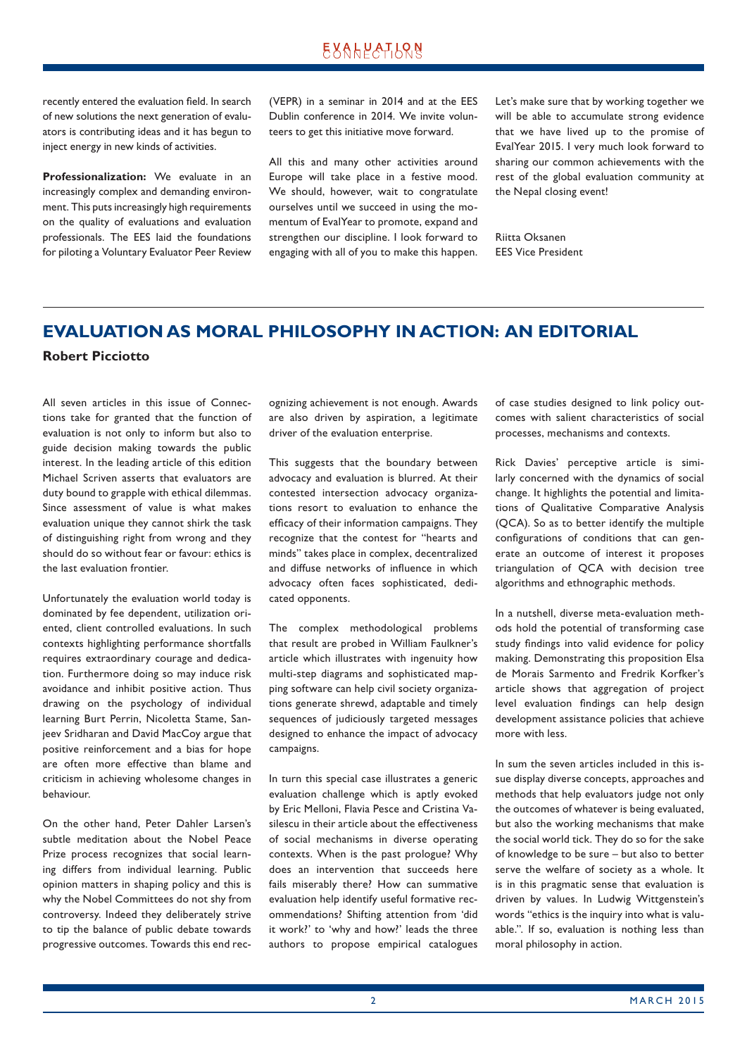## **EXALPATLQN**

recently entered the evaluation field. In search of new solutions the next generation of evaluators is contributing ideas and it has begun to inject energy in new kinds of activities.

**Professionalization:** We evaluate in an increasingly complex and demanding environment. This puts increasingly high requirements on the quality of evaluations and evaluation professionals. The EES laid the foundations for piloting a Voluntary Evaluator Peer Review (VEPR) in a seminar in 2014 and at the EES Dublin conference in 2014. We invite volunteers to get this initiative move forward.

All this and many other activities around Europe will take place in a festive mood. We should, however, wait to congratulate ourselves until we succeed in using the momentum of EvalYear to promote, expand and strengthen our discipline. I look forward to engaging with all of you to make this happen. Let's make sure that by working together we will be able to accumulate strong evidence that we have lived up to the promise of EvalYear 2015. I very much look forward to sharing our common achievements with the rest of the global evaluation community at the Nepal closing event!

Riitta Oksanen EES Vice President

## **EVALUATION AS MORAL PHILOSOPHY IN ACTION: AN EDITORIAL Robert Picciotto**

All seven articles in this issue of Connections take for granted that the function of evaluation is not only to inform but also to guide decision making towards the public interest. In the leading article of this edition Michael Scriven asserts that evaluators are duty bound to grapple with ethical dilemmas. Since assessment of value is what makes evaluation unique they cannot shirk the task of distinguishing right from wrong and they should do so without fear or favour: ethics is the last evaluation frontier.

Unfortunately the evaluation world today is dominated by fee dependent, utilization oriented, client controlled evaluations. In such contexts highlighting performance shortfalls requires extraordinary courage and dedication. Furthermore doing so may induce risk avoidance and inhibit positive action. Thus drawing on the psychology of individual learning Burt Perrin, Nicoletta Stame, Sanjeev Sridharan and David MacCoy argue that positive reinforcement and a bias for hope are often more effective than blame and criticism in achieving wholesome changes in behaviour.

On the other hand, Peter Dahler Larsen's subtle meditation about the Nobel Peace Prize process recognizes that social learning differs from individual learning. Public opinion matters in shaping policy and this is why the Nobel Committees do not shy from controversy. Indeed they deliberately strive to tip the balance of public debate towards progressive outcomes. Towards this end recognizing achievement is not enough. Awards are also driven by aspiration, a legitimate driver of the evaluation enterprise.

This suggests that the boundary between advocacy and evaluation is blurred. At their contested intersection advocacy organizations resort to evaluation to enhance the efficacy of their information campaigns. They recognize that the contest for "hearts and minds" takes place in complex, decentralized and diffuse networks of influence in which advocacy often faces sophisticated, dedicated opponents.

The complex methodological problems that result are probed in William Faulkner's article which illustrates with ingenuity how multi-step diagrams and sophisticated mapping software can help civil society organizations generate shrewd, adaptable and timely sequences of judiciously targeted messages designed to enhance the impact of advocacy campaigns.

In turn this special case illustrates a generic evaluation challenge which is aptly evoked by Eric Melloni, Flavia Pesce and Cristina Vasilescu in their article about the effectiveness of social mechanisms in diverse operating contexts. When is the past prologue? Why does an intervention that succeeds here fails miserably there? How can summative evaluation help identify useful formative recommendations? Shifting attention from 'did it work?' to 'why and how?' leads the three authors to propose empirical catalogues of case studies designed to link policy outcomes with salient characteristics of social processes, mechanisms and contexts.

Rick Davies' perceptive article is similarly concerned with the dynamics of social change. It highlights the potential and limitations of Qualitative Comparative Analysis (QCA). So as to better identify the multiple configurations of conditions that can generate an outcome of interest it proposes triangulation of QCA with decision tree algorithms and ethnographic methods.

In a nutshell, diverse meta-evaluation methods hold the potential of transforming case study findings into valid evidence for policy making. Demonstrating this proposition Elsa de Morais Sarmento and Fredrik Korfker's article shows that aggregation of project level evaluation findings can help design development assistance policies that achieve more with less.

In sum the seven articles included in this issue display diverse concepts, approaches and methods that help evaluators judge not only the outcomes of whatever is being evaluated, but also the working mechanisms that make the social world tick. They do so for the sake of knowledge to be sure – but also to better serve the welfare of society as a whole. It is in this pragmatic sense that evaluation is driven by values. In Ludwig Wittgenstein's words "ethics is the inquiry into what is valuable.". If so, evaluation is nothing less than moral philosophy in action.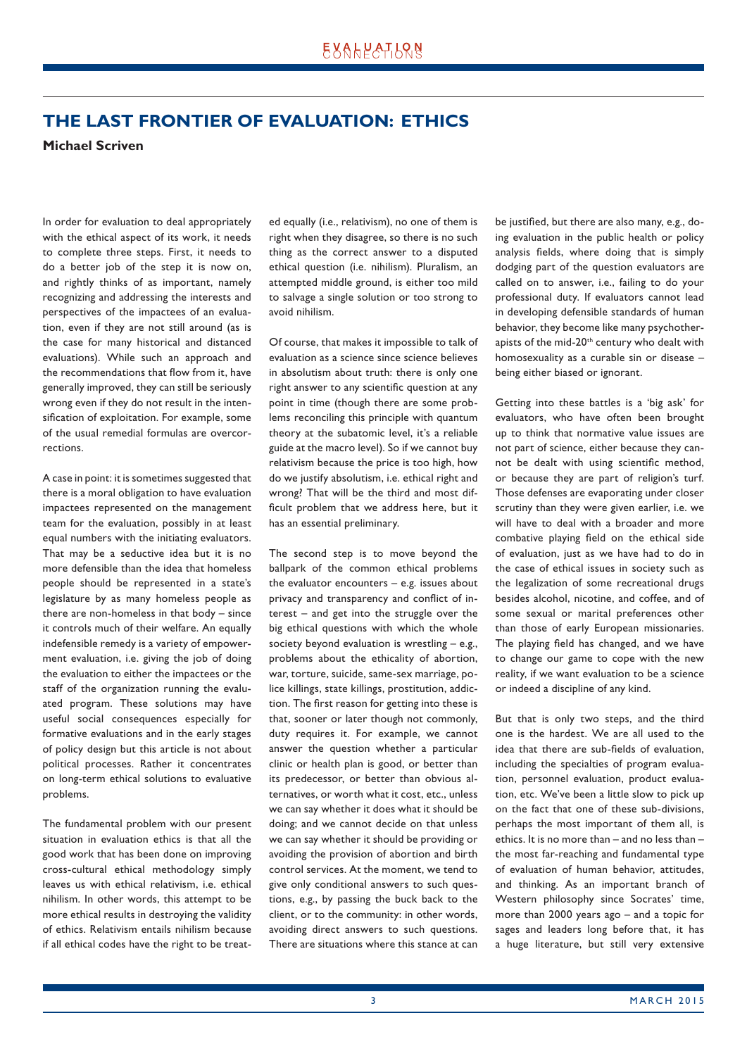# **THE LAST FRONTIER OF EVALUATION: ETHICS**

**Michael Scriven**

In order for evaluation to deal appropriately with the ethical aspect of its work, it needs to complete three steps. First, it needs to do a better job of the step it is now on, and rightly thinks of as important, namely recognizing and addressing the interests and perspectives of the impactees of an evaluation, even if they are not still around (as is the case for many historical and distanced evaluations). While such an approach and the recommendations that flow from it, have generally improved, they can still be seriously wrong even if they do not result in the intensification of exploitation. For example, some of the usual remedial formulas are overcorrections.

A case in point: it is sometimes suggested that there is a moral obligation to have evaluation impactees represented on the management team for the evaluation, possibly in at least equal numbers with the initiating evaluators. That may be a seductive idea but it is no more defensible than the idea that homeless people should be represented in a state's legislature by as many homeless people as there are non-homeless in that body – since it controls much of their welfare. An equally indefensible remedy is a variety of empowerment evaluation, i.e. giving the job of doing the evaluation to either the impactees or the staff of the organization running the evaluated program. These solutions may have useful social consequences especially for formative evaluations and in the early stages of policy design but this article is not about political processes. Rather it concentrates on long-term ethical solutions to evaluative problems.

The fundamental problem with our present situation in evaluation ethics is that all the good work that has been done on improving cross-cultural ethical methodology simply leaves us with ethical relativism, i.e. ethical nihilism. In other words, this attempt to be more ethical results in destroying the validity of ethics. Relativism entails nihilism because if all ethical codes have the right to be treated equally (i.e., relativism), no one of them is right when they disagree, so there is no such thing as the correct answer to a disputed ethical question (i.e. nihilism). Pluralism, an attempted middle ground, is either too mild to salvage a single solution or too strong to avoid nihilism.

Of course, that makes it impossible to talk of evaluation as a science since science believes in absolutism about truth: there is only one right answer to any scientific question at any point in time (though there are some problems reconciling this principle with quantum theory at the subatomic level, it's a reliable guide at the macro level). So if we cannot buy relativism because the price is too high, how do we justify absolutism, i.e. ethical right and wrong? That will be the third and most difficult problem that we address here, but it has an essential preliminary.

The second step is to move beyond the ballpark of the common ethical problems the evaluator encounters  $-$  e.g. issues about privacy and transparency and conflict of interest – and get into the struggle over the big ethical questions with which the whole society beyond evaluation is wrestling – e.g., problems about the ethicality of abortion, war, torture, suicide, same-sex marriage, police killings, state killings, prostitution, addiction. The first reason for getting into these is that, sooner or later though not commonly, duty requires it. For example, we cannot answer the question whether a particular clinic or health plan is good, or better than its predecessor, or better than obvious alternatives, or worth what it cost, etc., unless we can say whether it does what it should be doing; and we cannot decide on that unless we can say whether it should be providing or avoiding the provision of abortion and birth control services. At the moment, we tend to give only conditional answers to such questions, e.g., by passing the buck back to the client, or to the community: in other words, avoiding direct answers to such questions. There are situations where this stance at can be justified, but there are also many, e.g., doing evaluation in the public health or policy analysis fields, where doing that is simply dodging part of the question evaluators are called on to answer, i.e., failing to do your professional duty. If evaluators cannot lead in developing defensible standards of human behavior, they become like many psychotherapists of the mid-20<sup>th</sup> century who dealt with homosexuality as a curable sin or disease – being either biased or ignorant.

Getting into these battles is a 'big ask' for evaluators, who have often been brought up to think that normative value issues are not part of science, either because they cannot be dealt with using scientific method, or because they are part of religion's turf. Those defenses are evaporating under closer scrutiny than they were given earlier, i.e. we will have to deal with a broader and more combative playing field on the ethical side of evaluation, just as we have had to do in the case of ethical issues in society such as the legalization of some recreational drugs besides alcohol, nicotine, and coffee, and of some sexual or marital preferences other than those of early European missionaries. The playing field has changed, and we have to change our game to cope with the new reality, if we want evaluation to be a science or indeed a discipline of any kind.

But that is only two steps, and the third one is the hardest. We are all used to the idea that there are sub-fields of evaluation, including the specialties of program evaluation, personnel evaluation, product evaluation, etc. We've been a little slow to pick up on the fact that one of these sub-divisions, perhaps the most important of them all, is ethics. It is no more than – and no less than – the most far-reaching and fundamental type of evaluation of human behavior, attitudes, and thinking. As an important branch of Western philosophy since Socrates' time, more than 2000 years ago – and a topic for sages and leaders long before that, it has a huge literature, but still very extensive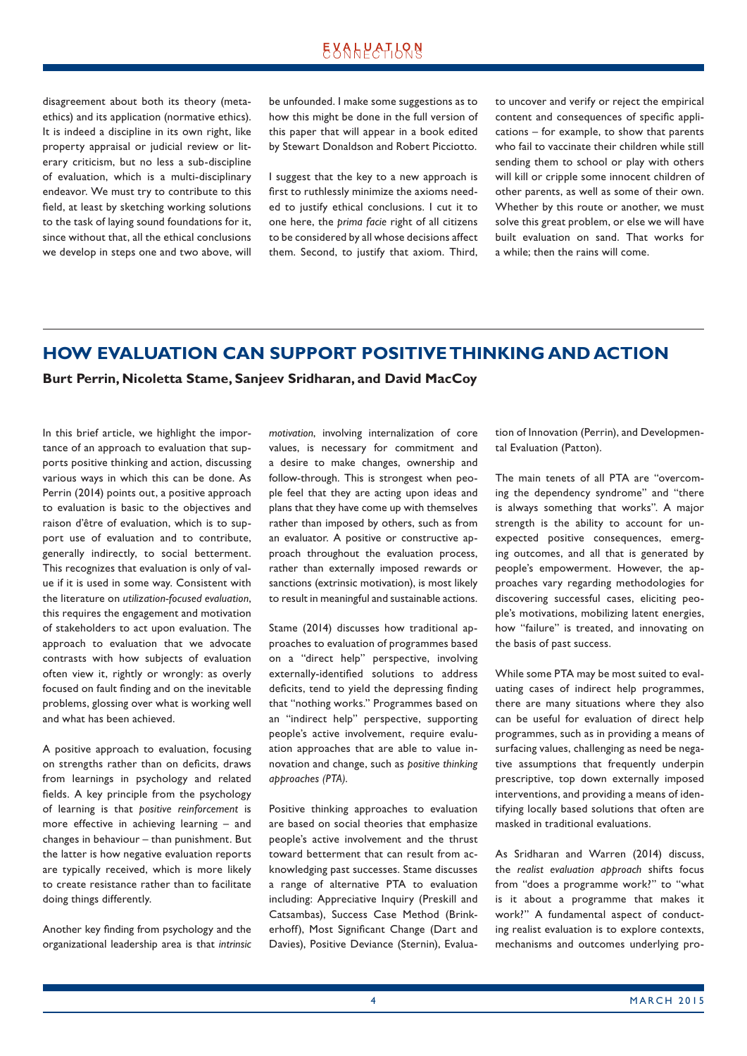## **EXALPATLQN**

disagreement about both its theory (metaethics) and its application (normative ethics). It is indeed a discipline in its own right, like property appraisal or judicial review or literary criticism, but no less a sub-discipline of evaluation, which is a multi-disciplinary endeavor. We must try to contribute to this field, at least by sketching working solutions to the task of laying sound foundations for it, since without that, all the ethical conclusions we develop in steps one and two above, will be unfounded. I make some suggestions as to how this might be done in the full version of this paper that will appear in a book edited by Stewart Donaldson and Robert Picciotto.

I suggest that the key to a new approach is first to ruthlessly minimize the axioms needed to justify ethical conclusions. I cut it to one here, the *prima facie* right of all citizens to be considered by all whose decisions affect them. Second, to justify that axiom. Third,

to uncover and verify or reject the empirical content and consequences of specific applications – for example, to show that parents who fail to vaccinate their children while still sending them to school or play with others will kill or cripple some innocent children of other parents, as well as some of their own. Whether by this route or another, we must solve this great problem, or else we will have built evaluation on sand. That works for a while; then the rains will come.

## **HOW EVALUATION CAN SUPPORT POSITIVE THINKING AND ACTION**

**Burt Perrin, Nicoletta Stame, Sanjeev Sridharan, and David MacCoy**

In this brief article, we highlight the importance of an approach to evaluation that supports positive thinking and action, discussing various ways in which this can be done. As Perrin (2014) points out, a positive approach to evaluation is basic to the objectives and raison d'être of evaluation, which is to support use of evaluation and to contribute, generally indirectly, to social betterment. This recognizes that evaluation is only of value if it is used in some way. Consistent with the literature on *utilization-focused evaluation*, this requires the engagement and motivation of stakeholders to act upon evaluation. The approach to evaluation that we advocate contrasts with how subjects of evaluation often view it, rightly or wrongly: as overly focused on fault finding and on the inevitable problems, glossing over what is working well and what has been achieved.

A positive approach to evaluation, focusing on strengths rather than on deficits, draws from learnings in psychology and related fields. A key principle from the psychology of learning is that *positive reinforcement* is more effective in achieving learning – and changes in behaviour – than punishment. But the latter is how negative evaluation reports are typically received, which is more likely to create resistance rather than to facilitate doing things differently.

Another key finding from psychology and the organizational leadership area is that *intrinsic*  *motivation*, involving internalization of core values, is necessary for commitment and a desire to make changes, ownership and follow-through. This is strongest when people feel that they are acting upon ideas and plans that they have come up with themselves rather than imposed by others, such as from an evaluator. A positive or constructive approach throughout the evaluation process, rather than externally imposed rewards or sanctions (extrinsic motivation), is most likely to result in meaningful and sustainable actions.

Stame (2014) discusses how traditional approaches to evaluation of programmes based on a "direct help" perspective, involving externally-identified solutions to address deficits, tend to yield the depressing finding that "nothing works." Programmes based on an "indirect help" perspective, supporting people's active involvement, require evaluation approaches that are able to value innovation and change, such as *positive thinking approaches (PTA)*.

Positive thinking approaches to evaluation are based on social theories that emphasize people's active involvement and the thrust toward betterment that can result from acknowledging past successes. Stame discusses a range of alternative PTA to evaluation including: Appreciative Inquiry (Preskill and Catsambas), Success Case Method (Brinkerhoff), Most Significant Change (Dart and Davies), Positive Deviance (Sternin), Evaluation of Innovation (Perrin), and Developmental Evaluation (Patton).

The main tenets of all PTA are "overcoming the dependency syndrome" and "there is always something that works". A major strength is the ability to account for unexpected positive consequences, emerging outcomes, and all that is generated by people's empowerment. However, the approaches vary regarding methodologies for discovering successful cases, eliciting people's motivations, mobilizing latent energies, how "failure" is treated, and innovating on the basis of past success.

While some PTA may be most suited to evaluating cases of indirect help programmes, there are many situations where they also can be useful for evaluation of direct help programmes, such as in providing a means of surfacing values, challenging as need be negative assumptions that frequently underpin prescriptive, top down externally imposed interventions, and providing a means of identifying locally based solutions that often are masked in traditional evaluations.

As Sridharan and Warren (2014) discuss, the *realist evaluation approach* shifts focus from "does a programme work?" to "what is it about a programme that makes it work?" A fundamental aspect of conducting realist evaluation is to explore contexts, mechanisms and outcomes underlying pro-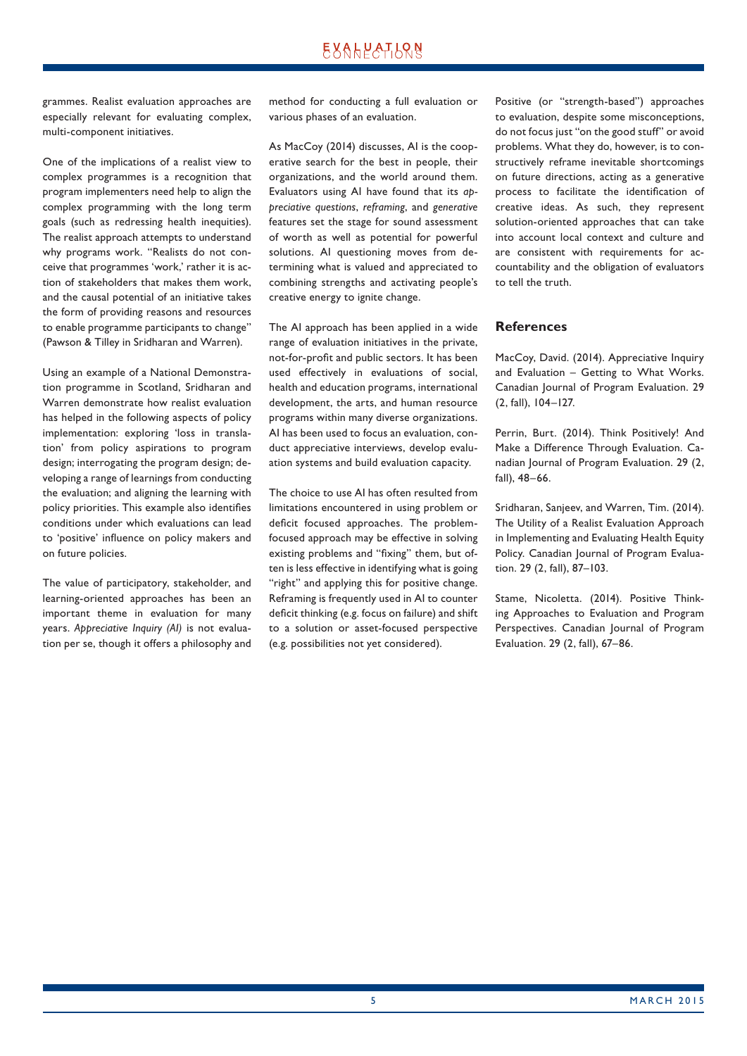grammes. Realist evaluation approaches are especially relevant for evaluating complex, multi-component initiatives.

One of the implications of a realist view to complex programmes is a recognition that program implementers need help to align the complex programming with the long term goals (such as redressing health inequities). The realist approach attempts to understand why programs work. "Realists do not conceive that programmes 'work,' rather it is action of stakeholders that makes them work, and the causal potential of an initiative takes the form of providing reasons and resources to enable programme participants to change" (Pawson & Tilley in Sridharan and Warren).

Using an example of a National Demonstration programme in Scotland, Sridharan and Warren demonstrate how realist evaluation has helped in the following aspects of policy implementation: exploring 'loss in translation' from policy aspirations to program design; interrogating the program design; developing a range of learnings from conducting the evaluation; and aligning the learning with policy priorities. This example also identifies conditions under which evaluations can lead to 'positive' influence on policy makers and on future policies.

The value of participatory, stakeholder, and learning-oriented approaches has been an important theme in evaluation for many years. *Appreciative Inquiry (AI)* is not evaluation per se, though it offers a philosophy and method for conducting a full evaluation or various phases of an evaluation.

As MacCoy (2014) discusses, AI is the cooperative search for the best in people, their organizations, and the world around them. Evaluators using AI have found that its *appreciative questions*, *reframing*, and *generative* features set the stage for sound assessment of worth as well as potential for powerful solutions. AI questioning moves from determining what is valued and appreciated to combining strengths and activating people's creative energy to ignite change.

The AI approach has been applied in a wide range of evaluation initiatives in the private, not-for-profit and public sectors. It has been used effectively in evaluations of social, health and education programs, international development, the arts, and human resource programs within many diverse organizations. AI has been used to focus an evaluation, conduct appreciative interviews, develop evaluation systems and build evaluation capacity.

The choice to use AI has often resulted from limitations encountered in using problem or deficit focused approaches. The problemfocused approach may be effective in solving existing problems and "fixing" them, but often is less effective in identifying what is going "right" and applying this for positive change. Reframing is frequently used in AI to counter deficit thinking (e.g. focus on failure) and shift to a solution or asset-focused perspective (e.g. possibilities not yet considered).

Positive (or "strength-based") approaches to evaluation, despite some misconceptions, do not focus just "on the good stuff" or avoid problems. What they do, however, is to constructively reframe inevitable shortcomings on future directions, acting as a generative process to facilitate the identification of creative ideas. As such, they represent solution-oriented approaches that can take into account local context and culture and are consistent with requirements for accountability and the obligation of evaluators to tell the truth.

## **References**

MacCoy, David. (2014). Appreciative Inquiry and Evaluation – Getting to What Works. Canadian Journal of Program Evaluation. 29 (2, fall), 104–127.

Perrin, Burt. (2014). Think Positively! And Make a Difference Through Evaluation. Canadian Journal of Program Evaluation. 29 (2, fall), 48–66.

Sridharan, Sanjeev, and Warren, Tim. (2014). The Utility of a Realist Evaluation Approach in Implementing and Evaluating Health Equity Policy. Canadian Journal of Program Evaluation. 29 (2, fall), 87–103.

Stame, Nicoletta. (2014). Positive Thinking Approaches to Evaluation and Program Perspectives. Canadian Journal of Program Evaluation. 29 (2, fall), 67–86.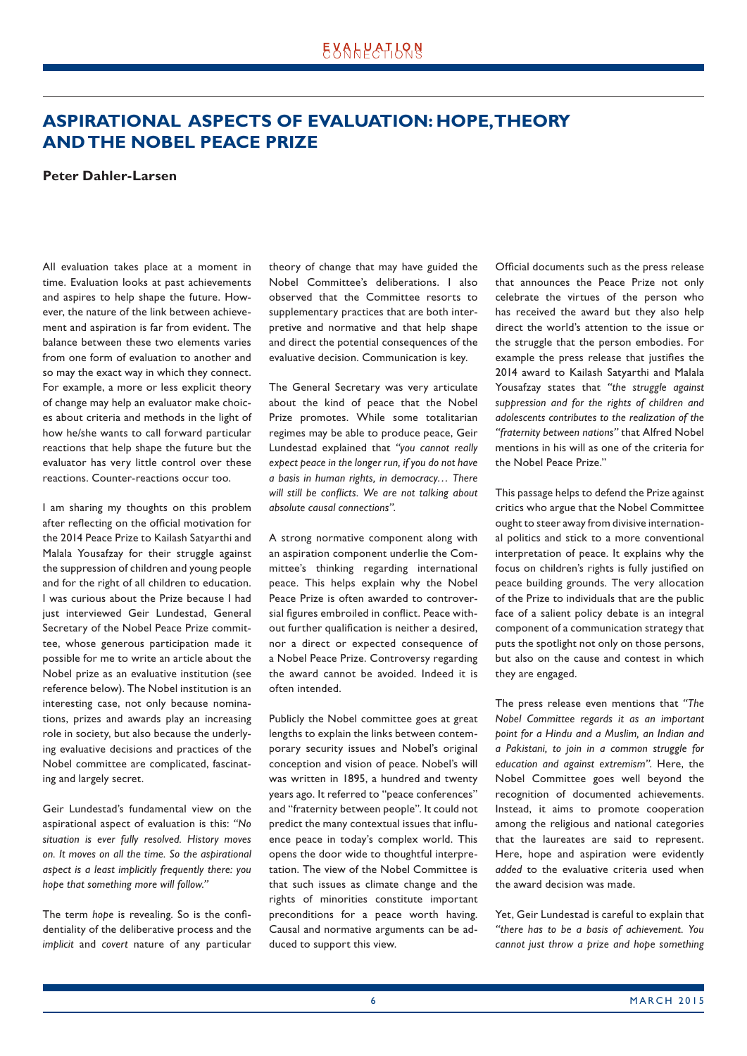# **ASPIRATIONAL ASPECTS OF EVALUATION: HOPE, THEORY AND THE NOBEL PEACE PRIZE**

#### **Peter Dahler-Larsen**

All evaluation takes place at a moment in time. Evaluation looks at past achievements and aspires to help shape the future. However, the nature of the link between achievement and aspiration is far from evident. The balance between these two elements varies from one form of evaluation to another and so may the exact way in which they connect. For example, a more or less explicit theory of change may help an evaluator make choices about criteria and methods in the light of how he/she wants to call forward particular reactions that help shape the future but the evaluator has very little control over these reactions. Counter-reactions occur too.

I am sharing my thoughts on this problem after reflecting on the official motivation for the 2014 Peace Prize to Kailash Satyarthi and Malala Yousafzay for their struggle against the suppression of children and young people and for the right of all children to education. I was curious about the Prize because I had just interviewed Geir Lundestad, General Secretary of the Nobel Peace Prize committee, whose generous participation made it possible for me to write an article about the Nobel prize as an evaluative institution (see reference below). The Nobel institution is an interesting case, not only because nominations, prizes and awards play an increasing role in society, but also because the underlying evaluative decisions and practices of the Nobel committee are complicated, fascinating and largely secret.

Geir Lundestad's fundamental view on the aspirational aspect of evaluation is this: *"No situation is ever fully resolved. History moves on. It moves on all the time. So the aspirational aspect is a least implicitly frequently there: you hope that something more will follow."*

The term *hobe* is revealing. So is the confidentiality of the deliberative process and the *implicit* and *covert* nature of any particular theory of change that may have guided the Nobel Committee's deliberations. I also observed that the Committee resorts to supplementary practices that are both interpretive and normative and that help shape and direct the potential consequences of the evaluative decision. Communication is key.

The General Secretary was very articulate about the kind of peace that the Nobel Prize promotes. While some totalitarian regimes may be able to produce peace, Geir Lundestad explained that *"you cannot really expect peace in the longer run, if you do not have a basis in human rights, in democracy… There*  will still be conflicts. We are not talking about *absolute causal connections"*.

A strong normative component along with an aspiration component underlie the Committee's thinking regarding international peace. This helps explain why the Nobel Peace Prize is often awarded to controversial figures embroiled in conflict. Peace without further qualification is neither a desired, nor a direct or expected consequence of a Nobel Peace Prize. Controversy regarding the award cannot be avoided. Indeed it is often intended.

Publicly the Nobel committee goes at great lengths to explain the links between contemporary security issues and Nobel's original conception and vision of peace. Nobel's will was written in 1895, a hundred and twenty years ago. It referred to "peace conferences" and "fraternity between people". It could not predict the many contextual issues that influence peace in today's complex world. This opens the door wide to thoughtful interpretation. The view of the Nobel Committee is that such issues as climate change and the rights of minorities constitute important preconditions for a peace worth having. Causal and normative arguments can be adduced to support this view.

Official documents such as the press release that announces the Peace Prize not only celebrate the virtues of the person who has received the award but they also help direct the world's attention to the issue or the struggle that the person embodies. For example the press release that justifies the 2014 award to Kailash Satyarthi and Malala Yousafzay states that *"the struggle against suppression and for the rights of children and adolescents contributes to the realization of the "fraternity between nations"* that Alfred Nobel mentions in his will as one of the criteria for the Nobel Peace Prize."

This passage helps to defend the Prize against critics who argue that the Nobel Committee ought to steer away from divisive international politics and stick to a more conventional interpretation of peace. It explains why the focus on children's rights is fully justified on peace building grounds. The very allocation of the Prize to individuals that are the public face of a salient policy debate is an integral component of a communication strategy that puts the spotlight not only on those persons, but also on the cause and contest in which they are engaged.

The press release even mentions that *"The Nobel Committee regards it as an important point for a Hindu and a Muslim, an Indian and a Pakistani, to join in a common struggle for education and against extremism"*. Here, the Nobel Committee goes well beyond the recognition of documented achievements. Instead, it aims to promote cooperation among the religious and national categories that the laureates are said to represent. Here, hope and aspiration were evidently *added* to the evaluative criteria used when the award decision was made.

Yet, Geir Lundestad is careful to explain that *"there has to be a basis of achievement. You cannot just throw a prize and hope something*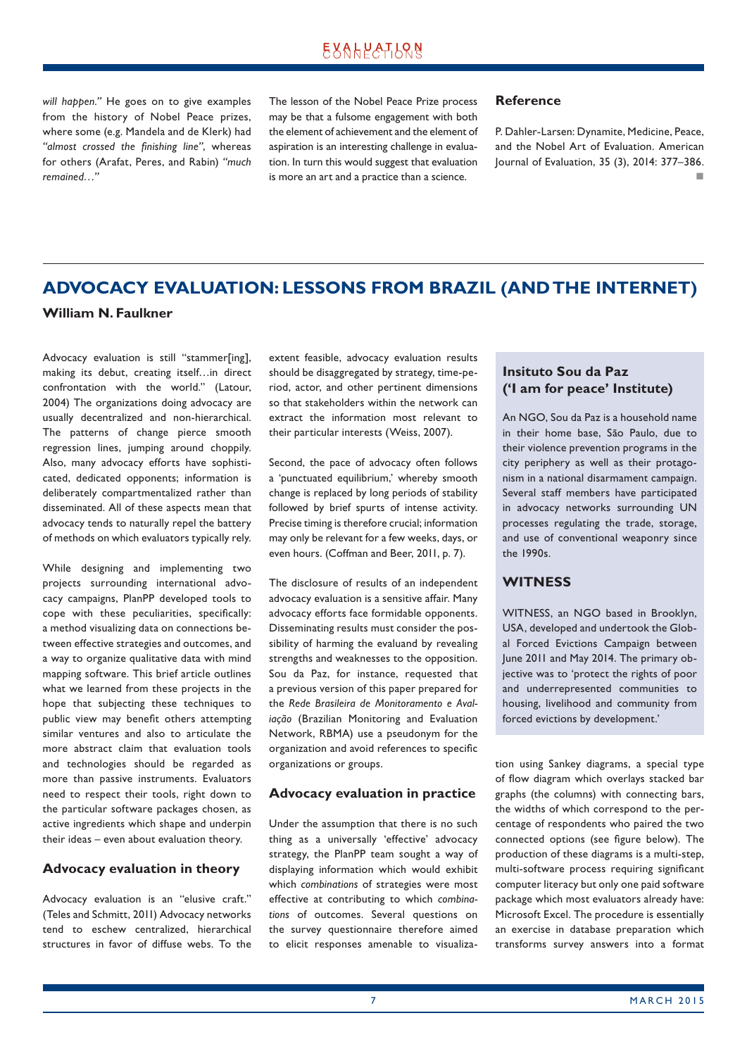## **EXALPATLQN**

*will happen."* He goes on to give examples from the history of Nobel Peace prizes, where some (e.g. Mandela and de Klerk) had "almost crossed the finishing line", whereas for others (Arafat, Peres, and Rabin) *"much remained…"*

The lesson of the Nobel Peace Prize process may be that a fulsome engagement with both the element of achievement and the element of aspiration is an interesting challenge in evaluation. In turn this would suggest that evaluation is more an art and a practice than a science.

#### **Reference**

P. Dahler-Larsen: Dynamite, Medicine, Peace, and the Nobel Art of Evaluation. American Journal of Evaluation, 35 (3), 2014: 377–386. L.

# **ADVOCACY EVALUATION: LESSONS FROM BRAZIL (AND THE INTERNET) William N. Faulkner**

Advocacy evaluation is still "stammer[ing], making its debut, creating itself…in direct confrontation with the world." (Latour, 2004) The organizations doing advocacy are usually decentralized and non-hierarchical. The patterns of change pierce smooth regression lines, jumping around choppily. Also, many advocacy efforts have sophisticated, dedicated opponents; information is deliberately compartmentalized rather than disseminated. All of these aspects mean that advocacy tends to naturally repel the battery of methods on which evaluators typically rely.

While designing and implementing two projects surrounding international advocacy campaigns, PlanPP developed tools to cope with these peculiarities, specifically: a method visualizing data on connections between effective strategies and outcomes, and a way to organize qualitative data with mind mapping software. This brief article outlines what we learned from these projects in the hope that subjecting these techniques to public view may benefit others attempting similar ventures and also to articulate the more abstract claim that evaluation tools and technologies should be regarded as more than passive instruments. Evaluators need to respect their tools, right down to the particular software packages chosen, as active ingredients which shape and underpin their ideas – even about evaluation theory.

## **Advocacy evaluation in theory**

Advocacy evaluation is an "elusive craft." (Teles and Schmitt, 2011) Advocacy networks tend to eschew centralized, hierarchical structures in favor of diffuse webs. To the extent feasible, advocacy evaluation results should be disaggregated by strategy, time-period, actor, and other pertinent dimensions so that stakeholders within the network can extract the information most relevant to their particular interests (Weiss, 2007).

Second, the pace of advocacy often follows a 'punctuated equilibrium,' whereby smooth change is replaced by long periods of stability followed by brief spurts of intense activity. Precise timing is therefore crucial; information may only be relevant for a few weeks, days, or even hours. (Coffman and Beer, 2011, p. 7).

The disclosure of results of an independent advocacy evaluation is a sensitive affair. Many advocacy efforts face formidable opponents. Disseminating results must consider the possibility of harming the evaluand by revealing strengths and weaknesses to the opposition. Sou da Paz, for instance, requested that a previous version of this paper prepared for the *Rede Brasileira de Monitoramento e Avaliação* (Brazilian Monitoring and Evaluation Network, RBMA) use a pseudonym for the organization and avoid references to specific organizations or groups.

### **Advocacy evaluation in practice**

Under the assumption that there is no such thing as a universally 'effective' advocacy strategy, the PlanPP team sought a way of displaying information which would exhibit which *combinations* of strategies were most effective at contributing to which *combinations* of outcomes. Several questions on the survey questionnaire therefore aimed to elicit responses amenable to visualiza-

## **Insituto Sou da Paz ('I am for peace' Institute)**

An NGO, Sou da Paz is a household name in their home base, São Paulo, due to their violence prevention programs in the city periphery as well as their protagonism in a national disarmament campaign. Several staff members have participated in advocacy networks surrounding UN processes regulating the trade, storage, and use of conventional weaponry since the 1990s.

## **WITNESS**

WITNESS, an NGO based in Brooklyn, USA, developed and undertook the Global Forced Evictions Campaign between June 2011 and May 2014. The primary objective was to 'protect the rights of poor and underrepresented communities to housing, livelihood and community from forced evictions by development.'

tion using Sankey diagrams, a special type of flow diagram which overlays stacked bar graphs (the columns) with connecting bars, the widths of which correspond to the percentage of respondents who paired the two connected options (see figure below). The production of these diagrams is a multi-step, multi-software process requiring significant computer literacy but only one paid software package which most evaluators already have: Microsoft Excel. The procedure is essentially an exercise in database preparation which transforms survey answers into a format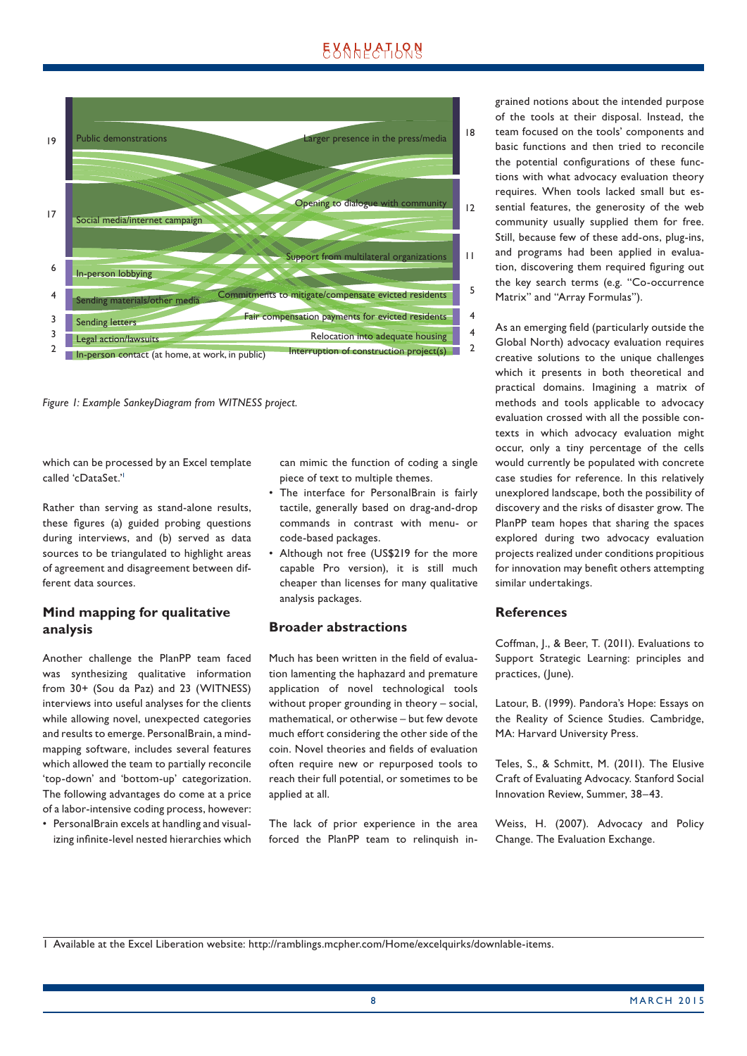

*Figure 1: Example SankeyDiagram from WITNESS project.*

which can be processed by an Excel template called 'cDataSet.'1

Rather than serving as stand-alone results, these figures (a) guided probing questions during interviews, and (b) served as data sources to be triangulated to highlight areas of agreement and disagreement between different data sources.

## **Mind mapping for qualitative analysis**

Another challenge the PlanPP team faced was synthesizing qualitative information from 30+ (Sou da Paz) and 23 (WITNESS) interviews into useful analyses for the clients while allowing novel, unexpected categories and results to emerge. PersonalBrain, a mindmapping software, includes several features which allowed the team to partially reconcile 'top-down' and 'bottom-up' categorization. The following advantages do come at a price of a labor-intensive coding process, however:

• PersonalBrain excels at handling and visualizing infinite-level nested hierarchies which can mimic the function of coding a single piece of text to multiple themes.

- The interface for PersonalBrain is fairly tactile, generally based on drag-and-drop commands in contrast with menu- or code-based packages.
- Although not free (US\$219 for the more capable Pro version), it is still much cheaper than licenses for many qualitative analysis packages.

## **Broader abstractions**

Much has been written in the field of evaluation lamenting the haphazard and premature application of novel technological tools without proper grounding in theory – social, mathematical, or otherwise – but few devote much effort considering the other side of the coin. Novel theories and fields of evaluation often require new or repurposed tools to reach their full potential, or sometimes to be applied at all.

The lack of prior experience in the area forced the PlanPP team to relinquish ingrained notions about the intended purpose of the tools at their disposal. Instead, the team focused on the tools' components and basic functions and then tried to reconcile the potential configurations of these functions with what advocacy evaluation theory requires. When tools lacked small but essential features, the generosity of the web community usually supplied them for free. Still, because few of these add-ons, plug-ins, and programs had been applied in evaluation, discovering them required figuring out the key search terms (e.g. "Co-occurrence Matrix" and "Array Formulas").

As an emerging field (particularly outside the Global North) advocacy evaluation requires creative solutions to the unique challenges which it presents in both theoretical and practical domains. Imagining a matrix of methods and tools applicable to advocacy evaluation crossed with all the possible contexts in which advocacy evaluation might occur, only a tiny percentage of the cells would currently be populated with concrete case studies for reference. In this relatively unexplored landscape, both the possibility of discovery and the risks of disaster grow. The PlanPP team hopes that sharing the spaces explored during two advocacy evaluation projects realized under conditions propitious for innovation may benefit others attempting similar undertakings.

## **References**

Coffman, J., & Beer, T. (2011). Evaluations to Support Strategic Learning: principles and practices, (June).

Latour, B. (1999). Pandora's Hope: Essays on the Reality of Science Studies. Cambridge, MA: Harvard University Press.

Teles, S., & Schmitt, M. (2011). The Elusive Craft of Evaluating Advocacy. Stanford Social Innovation Review, Summer, 38–43.

Weiss, H. (2007). Advocacy and Policy Change. The Evaluation Exchange.

1 Available at the Excel Liberation website: http://ramblings.mcpher.com/Home/excelquirks/downlable-items.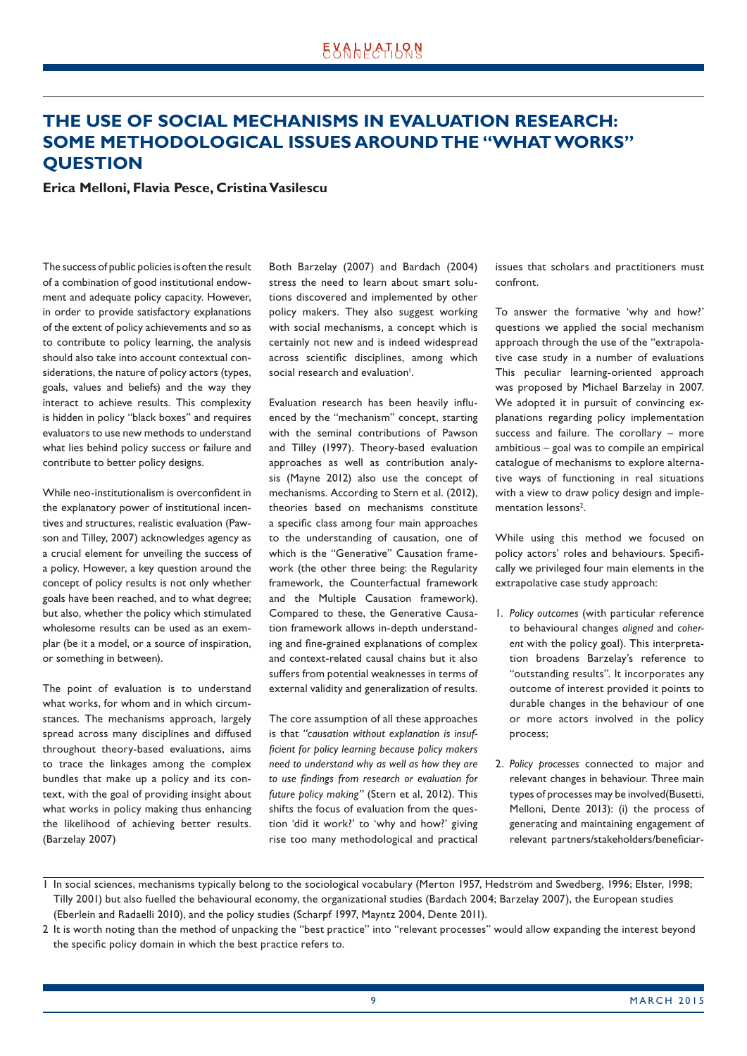# **THE USE OF SOCIAL MECHANISMS IN EVALUATION RESEARCH: SOME METHODOLOGICAL ISSUES AROUND THE "WHAT WORKS" QUESTION**

**Erica Melloni, Flavia Pesce, Cristina Vasilescu**

The success of public policies is often the result of a combination of good institutional endowment and adequate policy capacity. However, in order to provide satisfactory explanations of the extent of policy achievements and so as to contribute to policy learning, the analysis should also take into account contextual considerations, the nature of policy actors (types, goals, values and beliefs) and the way they interact to achieve results. This complexity is hidden in policy "black boxes" and requires evaluators to use new methods to understand what lies behind policy success or failure and contribute to better policy designs.

While neo-institutionalism is overconfident in the explanatory power of institutional incentives and structures, realistic evaluation (Pawson and Tilley, 2007) acknowledges agency as a crucial element for unveiling the success of a policy. However, a key question around the concept of policy results is not only whether goals have been reached, and to what degree; but also, whether the policy which stimulated wholesome results can be used as an exemplar (be it a model, or a source of inspiration, or something in between).

The point of evaluation is to understand what works, for whom and in which circumstances. The mechanisms approach, largely spread across many disciplines and diffused throughout theory-based evaluations, aims to trace the linkages among the complex bundles that make up a policy and its context, with the goal of providing insight about what works in policy making thus enhancing the likelihood of achieving better results. (Barzelay 2007)

Both Barzelay (2007) and Bardach (2004) stress the need to learn about smart solutions discovered and implemented by other policy makers. They also suggest working with social mechanisms, a concept which is certainly not new and is indeed widespread across scientific disciplines, among which social research and evaluation<sup>1</sup>.

Evaluation research has been heavily influenced by the "mechanism" concept, starting with the seminal contributions of Pawson and Tilley (1997). Theory-based evaluation approaches as well as contribution analysis (Mayne 2012) also use the concept of mechanisms. According to Stern et al. (2012), theories based on mechanisms constitute a specific class among four main approaches to the understanding of causation, one of which is the "Generative" Causation framework (the other three being: the Regularity framework, the Counterfactual framework and the Multiple Causation framework). Compared to these, the Generative Causation framework allows in-depth understanding and fine-grained explanations of complex and context-related causal chains but it also suffers from potential weaknesses in terms of external validity and generalization of results.

The core assumption of all these approaches is that *"causation without explanation is insuffi cient for policy learning because policy makers need to understand why as well as how they are to use fi ndings from research or evaluation for future policy making"* (Stern et al, 2012). This shifts the focus of evaluation from the question 'did it work?' to 'why and how?' giving rise too many methodological and practical issues that scholars and practitioners must confront.

To answer the formative 'why and how?' questions we applied the social mechanism approach through the use of the "extrapolative case study in a number of evaluations This peculiar learning-oriented approach was proposed by Michael Barzelay in 2007. We adopted it in pursuit of convincing explanations regarding policy implementation success and failure. The corollary – more ambitious – goal was to compile an empirical catalogue of mechanisms to explore alternative ways of functioning in real situations with a view to draw policy design and implementation lessons<sup>2</sup>.

While using this method we focused on policy actors' roles and behaviours. Specifically we privileged four main elements in the extrapolative case study approach:

- 1. *Policy outcomes* (with particular reference to behavioural changes *aligned* and *coherent* with the policy goal). This interpretation broadens Barzelay's reference to "outstanding results". It incorporates any outcome of interest provided it points to durable changes in the behaviour of one or more actors involved in the policy process;
- 2. *Policy processes* connected to major and relevant changes in behaviour. Three main types of processes may be involved(Busetti, Melloni, Dente 2013): (i) the process of generating and maintaining engagement of relevant partners/stakeholders/beneficiar-

<sup>1</sup> In social sciences, mechanisms typically belong to the sociological vocabulary (Merton 1957, Hedström and Swedberg, 1996; Elster, 1998; Tilly 2001) but also fuelled the behavioural economy, the organizational studies (Bardach 2004; Barzelay 2007), the European studies (Eberlein and Radaelli 2010), and the policy studies (Scharpf 1997, Mayntz 2004, Dente 2011).

<sup>2</sup> It is worth noting than the method of unpacking the "best practice" into "relevant processes" would allow expanding the interest beyond the specific policy domain in which the best practice refers to.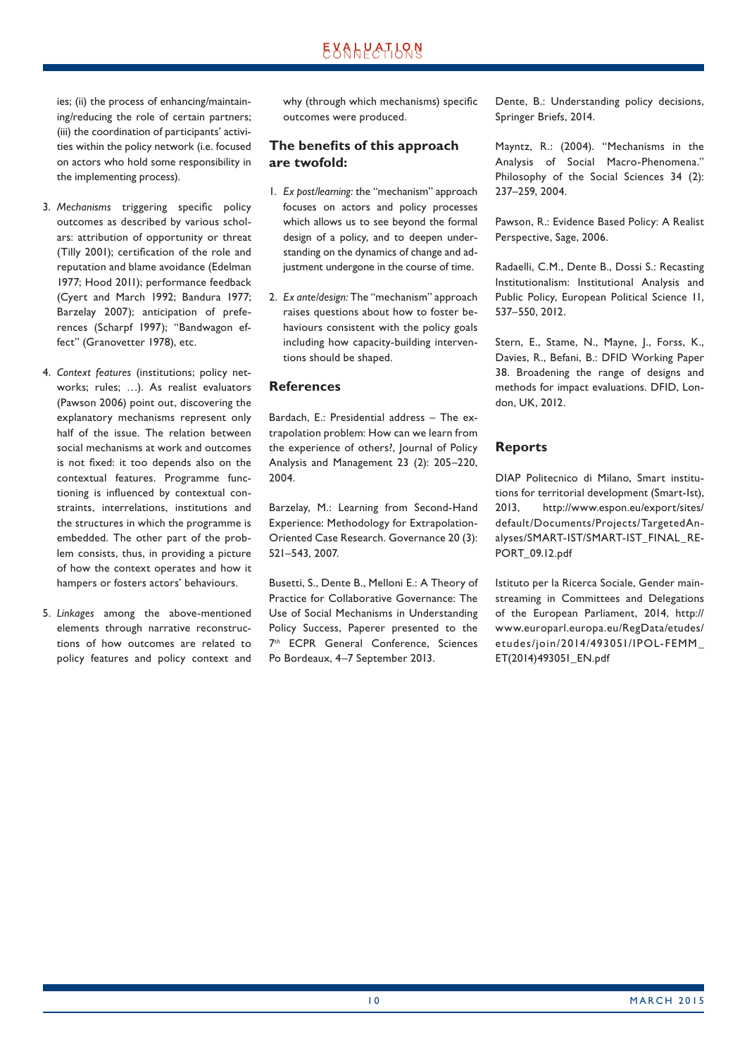ies; (ii) the process of enhancing/maintaining/reducing the role of certain partners; (iii) the coordination of participants' activities within the policy network (i.e. focused on actors who hold some responsibility in the implementing process).

- 3. Mechanisms triggering specific policy outcomes as described by various scholars: attribution of opportunity or threat (Tilly 2001); certification of the role and reputation and blame avoidance (Edelman 1977; Hood 2011); performance feedback (Cyert and March 1992; Bandura 1977; Barzelay 2007); anticipation of preferences (Scharpf 1997); "Bandwagon effect" (Granovetter 1978), etc.
- 4. *Context features* (institutions; policy networks; rules; …). As realist evaluators (Pawson 2006) point out, discovering the explanatory mechanisms represent only half of the issue. The relation between social mechanisms at work and outcomes is not fixed: it too depends also on the contextual features. Programme functioning is influenced by contextual constraints, interrelations, institutions and the structures in which the programme is embedded. The other part of the problem consists, thus, in providing a picture of how the context operates and how it hampers or fosters actors' behaviours.
- 5. *Linkages* among the above-mentioned elements through narrative reconstructions of how outcomes are related to policy features and policy context and

why (through which mechanisms) specific outcomes were produced.

## **The benefits of this approach are twofold:**

- 1. *Ex post/learning:* the "mechanism" approach focuses on actors and policy processes which allows us to see beyond the formal design of a policy, and to deepen understanding on the dynamics of change and adjustment undergone in the course of time.
- 2. *Ex ante/design:* The "mechanism" approach raises questions about how to foster behaviours consistent with the policy goals including how capacity-building interventions should be shaped.

## **References**

Bardach, E.: Presidential address – The extrapolation problem: How can we learn from the experience of others?, Journal of Policy Analysis and Management 23 (2): 205–220, 2004.

Barzelay, M.: Learning from Second-Hand Experience: Methodology for Extrapolation-Oriented Case Research. Governance 20 (3): 521–543, 2007.

Busetti, S., Dente B., Melloni E.: A Theory of Practice for Collaborative Governance: The Use of Social Mechanisms in Understanding Policy Success, Paperer presented to the 7<sup>th</sup> ECPR General Conference, Sciences Po Bordeaux, 4–7 September 2013.

Dente, B.: Understanding policy decisions, Springer Briefs, 2014.

Mayntz, R.: (2004). "Mechanisms in the Analysis of Social Macro-Phenomena." Philosophy of the Social Sciences 34 (2): 237–259, 2004.

Pawson, R.: Evidence Based Policy: A Realist Perspective, Sage, 2006.

Radaelli, C.M., Dente B., Dossi S.: Recasting Institutionalism: Institutional Analysis and Public Policy, European Political Science 11, 537–550, 2012.

Stern, E., Stame, N., Mayne, J., Forss, K., Davies, R., Befani, B.: DFID Working Paper 38. Broadening the range of designs and methods for impact evaluations. DFID, London, UK, 2012.

## **Reports**

DIAP Politecnico di Milano, Smart institutions for territorial development (Smart-Ist), 2013, http://www.espon.eu/export/sites/ default/Documents/Projects/TargetedAnalyses/SMART-IST/SMART-IST\_FINAL\_RE-PORT\_09.12.pdf

Istituto per la Ricerca Sociale, Gender mainstreaming in Committees and Delegations of the European Parliament, 2014, http:// www.europarl.europa.eu/RegData/etudes/ etudes/join/2014/493051/IPOL-FEMM\_ ET(2014)493051\_EN.pdf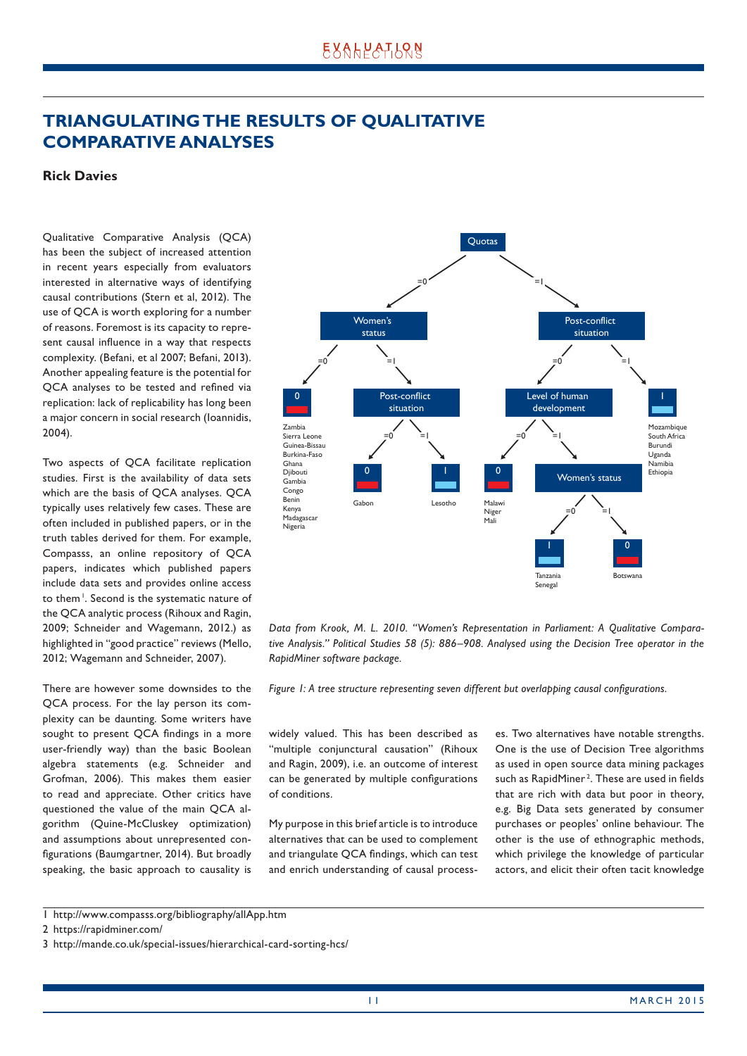# **TRIANGULATING THE RESULTS OF QUALITATIVE COMPARATIVE ANALYSES**

## **Rick Davies**

Qualitative Comparative Analysis (QCA) has been the subject of increased attention in recent years especially from evaluators interested in alternative ways of identifying causal contributions (Stern et al, 2012). The use of QCA is worth exploring for a number of reasons. Foremost is its capacity to represent causal influence in a way that respects complexity. (Befani, et al 2007; Befani, 2013). Another appealing feature is the potential for QCA analyses to be tested and refined via replication: lack of replicability has long been a major concern in social research (Ioannidis, 2004).

Two aspects of QCA facilitate replication studies. First is the availability of data sets which are the basis of QCA analyses. QCA typically uses relatively few cases. These are often included in published papers, or in the truth tables derived for them. For example, Compasss, an online repository of QCA papers, indicates which published papers include data sets and provides online access to them<sup>1</sup>. Second is the systematic nature of the QCA analytic process (Rihoux and Ragin, 2009; Schneider and Wagemann, 2012.) as highlighted in "good practice" reviews (Mello, 2012; Wagemann and Schneider, 2007).

There are however some downsides to the QCA process. For the lay person its complexity can be daunting. Some writers have sought to present QCA findings in a more user-friendly way) than the basic Boolean algebra statements (e.g. Schneider and Grofman, 2006). This makes them easier to read and appreciate. Other critics have questioned the value of the main QCA algorithm (Quine-McCluskey optimization) and assumptions about unrepresented configurations (Baumgartner, 2014). But broadly speaking, the basic approach to causality is



*Data from Krook, M. L. 2010. "Women's Representation in Parliament: A Qualitative Comparative Analysis." Political Studies 58 (5): 886–908. Analysed using the Decision Tree operator in the RapidMiner software package.*

Figure 1: A tree structure representing seven different but overlapping causal configurations.

widely valued. This has been described as "multiple conjunctural causation" (Rihoux and Ragin, 2009), i.e. an outcome of interest can be generated by multiple configurations of conditions.

My purpose in this brief article is to introduce alternatives that can be used to complement and triangulate QCA findings, which can test and enrich understanding of causal processes. Two alternatives have notable strengths. One is the use of Decision Tree algorithms as used in open source data mining packages such as RapidMiner<sup>2</sup>. These are used in fields that are rich with data but poor in theory, e.g. Big Data sets generated by consumer purchases or peoples' online behaviour. The other is the use of ethnographic methods, which privilege the knowledge of particular actors, and elicit their often tacit knowledge

<sup>1</sup> http://www.compasss.org/bibliography/allApp.htm

<sup>2</sup> https://rapidminer.com/

<sup>3</sup> http://mande.co.uk/special-issues/hierarchical-card-sorting-hcs/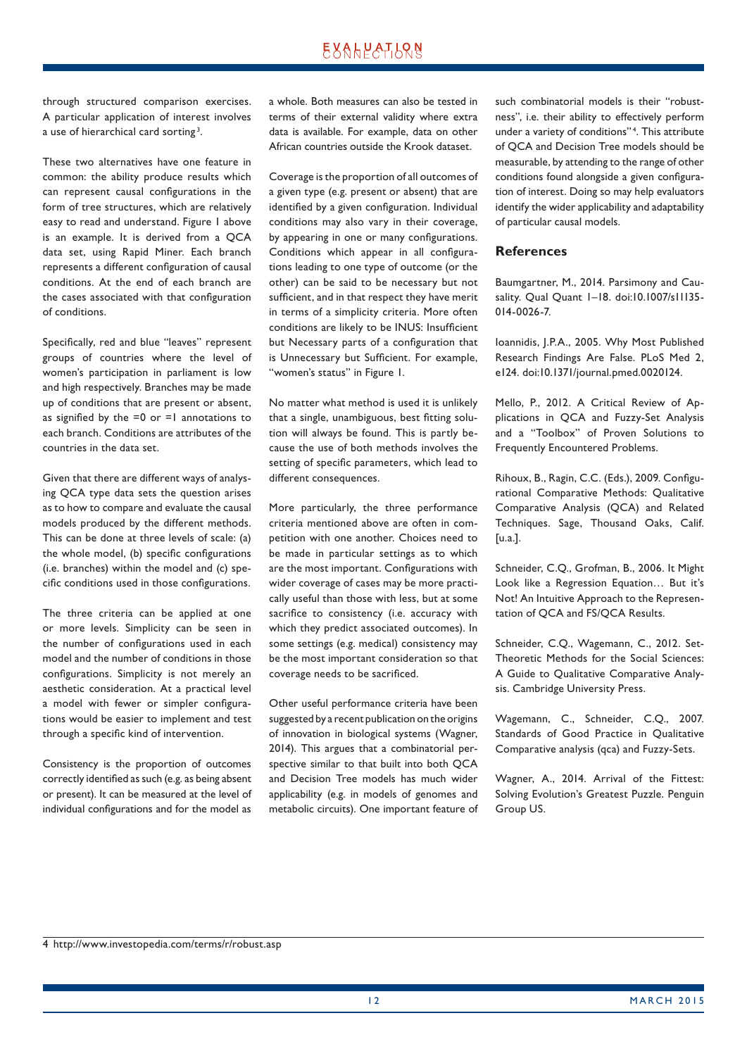through structured comparison exercises. A particular application of interest involves a use of hierarchical card sorting<sup>3</sup>.

These two alternatives have one feature in common: the ability produce results which can represent causal configurations in the form of tree structures, which are relatively easy to read and understand. Figure 1 above is an example. It is derived from a QCA data set, using Rapid Miner. Each branch represents a different configuration of causal conditions. At the end of each branch are the cases associated with that configuration of conditions.

Specifically, red and blue "leaves" represent groups of countries where the level of women's participation in parliament is low and high respectively. Branches may be made up of conditions that are present or absent, as signified by the  $=0$  or  $=1$  annotations to each branch. Conditions are attributes of the countries in the data set.

Given that there are different ways of analysing QCA type data sets the question arises as to how to compare and evaluate the causal models produced by the different methods. This can be done at three levels of scale: (a) the whole model, (b) specific configurations (i.e. branches) within the model and (c) specific conditions used in those configurations.

The three criteria can be applied at one or more levels. Simplicity can be seen in the number of configurations used in each model and the number of conditions in those configurations. Simplicity is not merely an aesthetic consideration. At a practical level a model with fewer or simpler configurations would be easier to implement and test through a specific kind of intervention.

Consistency is the proportion of outcomes correctly identified as such (e.g. as being absent or present). It can be measured at the level of individual configurations and for the model as a whole. Both measures can also be tested in terms of their external validity where extra data is available. For example, data on other African countries outside the Krook dataset.

Coverage is the proportion of all outcomes of a given type (e.g. present or absent) that are identified by a given configuration. Individual conditions may also vary in their coverage, by appearing in one or many configurations. Conditions which appear in all configurations leading to one type of outcome (or the other) can be said to be necessary but not sufficient, and in that respect they have merit in terms of a simplicity criteria. More often conditions are likely to be INUS: Insufficient but Necessary parts of a configuration that is Unnecessary but Sufficient. For example, "women's status" in Figure 1.

No matter what method is used it is unlikely that a single, unambiguous, best fitting solution will always be found. This is partly because the use of both methods involves the setting of specific parameters, which lead to different consequences.

More particularly, the three performance criteria mentioned above are often in competition with one another. Choices need to be made in particular settings as to which are the most important. Configurations with wider coverage of cases may be more practically useful than those with less, but at some sacrifice to consistency (i.e. accuracy with which they predict associated outcomes). In some settings (e.g. medical) consistency may be the most important consideration so that coverage needs to be sacrificed.

Other useful performance criteria have been suggested by a recent publication on the origins of innovation in biological systems (Wagner, 2014). This argues that a combinatorial perspective similar to that built into both QCA and Decision Tree models has much wider applicability (e.g. in models of genomes and metabolic circuits). One important feature of

such combinatorial models is their "robustness", i.e. their ability to effectively perform under a variety of conditions"<sup>4</sup>. This attribute of QCA and Decision Tree models should be measurable, by attending to the range of other conditions found alongside a given configuration of interest. Doing so may help evaluators identify the wider applicability and adaptability of particular causal models.

#### **References**

Baumgartner, M., 2014. Parsimony and Causality. Qual Quant 1–18. doi:10.1007/s11135- 014-0026-7.

Ioannidis, J.P.A., 2005. Why Most Published Research Findings Are False. PLoS Med 2, e124. doi:10.1371/journal.pmed.0020124.

Mello, P., 2012. A Critical Review of Applications in QCA and Fuzzy-Set Analysis and a "Toolbox" of Proven Solutions to Frequently Encountered Problems.

Rihoux, B., Ragin, C.C. (Eds.), 2009. Configurational Comparative Methods: Qualitative Comparative Analysis (QCA) and Related Techniques. Sage, Thousand Oaks, Calif. [u.a.].

Schneider, C.Q., Grofman, B., 2006. It Might Look like a Regression Equation… But it's Not! An Intuitive Approach to the Representation of QCA and FS/QCA Results.

Schneider, C.Q., Wagemann, C., 2012. Set-Theoretic Methods for the Social Sciences: A Guide to Qualitative Comparative Analysis. Cambridge University Press.

Wagemann, C., Schneider, C.Q., 2007. Standards of Good Practice in Qualitative Comparative analysis (qca) and Fuzzy-Sets.

Wagner, A., 2014. Arrival of the Fittest: Solving Evolution's Greatest Puzzle. Penguin Group US.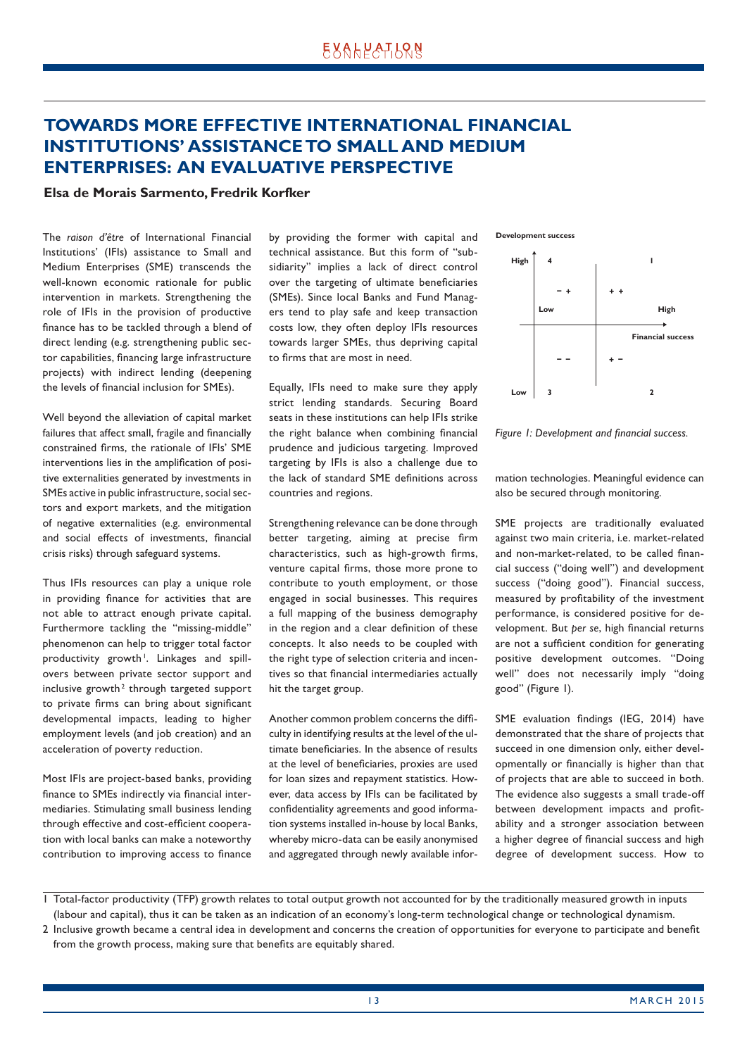# **TOWARDS MORE EFFECTIVE INTERNATIONAL FINANCIAL INSTITUTIONS' ASSISTANCE TO SMALL AND MEDIUM ENTERPRISES: AN EVALUATIVE PERSPECTIVE**

#### **Elsa de Morais Sarmento, Fredrik Korfker**

The *raison d'être* of International Financial Institutions' (IFIs) assistance to Small and Medium Enterprises (SME) transcends the well-known economic rationale for public intervention in markets. Strengthening the role of IFIs in the provision of productive finance has to be tackled through a blend of direct lending (e.g. strengthening public sector capabilities, financing large infrastructure projects) with indirect lending (deepening the levels of financial inclusion for SMEs).

Well beyond the alleviation of capital market failures that affect small, fragile and financially constrained firms, the rationale of IFIs' SME interventions lies in the amplification of positive externalities generated by investments in SMEs active in public infrastructure, social sectors and export markets, and the mitigation of negative externalities (e.g. environmental and social effects of investments, financial crisis risks) through safeguard systems.

Thus IFIs resources can play a unique role in providing finance for activities that are not able to attract enough private capital. Furthermore tackling the "missing-middle" phenomenon can help to trigger total factor productivity growth<sup>1</sup>. Linkages and spillovers between private sector support and inclusive growth<sup>2</sup> through targeted support to private firms can bring about significant developmental impacts, leading to higher employment levels (and job creation) and an acceleration of poverty reduction.

Most IFIs are project-based banks, providing finance to SMEs indirectly via financial intermediaries. Stimulating small business lending through effective and cost-efficient cooperation with local banks can make a noteworthy contribution to improving access to finance by providing the former with capital and technical assistance. But this form of "subsidiarity" implies a lack of direct control over the targeting of ultimate beneficiaries (SMEs). Since local Banks and Fund Managers tend to play safe and keep transaction costs low, they often deploy IFIs resources towards larger SMEs, thus depriving capital to firms that are most in need.

Equally, IFIs need to make sure they apply strict lending standards. Securing Board seats in these institutions can help IFIs strike the right balance when combining financial prudence and judicious targeting. Improved targeting by IFIs is also a challenge due to the lack of standard SME definitions across countries and regions.

Strengthening relevance can be done through better targeting, aiming at precise firm characteristics, such as high-growth firms, venture capital firms, those more prone to contribute to youth employment, or those engaged in social businesses. This requires a full mapping of the business demography in the region and a clear definition of these concepts. It also needs to be coupled with the right type of selection criteria and incentives so that financial intermediaries actually hit the target group.

Another common problem concerns the diffi culty in identifying results at the level of the ultimate beneficiaries. In the absence of results at the level of beneficiaries, proxies are used for loan sizes and repayment statistics. However, data access by IFIs can be facilitated by confidentiality agreements and good information systems installed in-house by local Banks, whereby micro-data can be easily anonymised and aggregated through newly available infor**Development success**



Figure 1: Development and financial success.

mation technologies. Meaningful evidence can also be secured through monitoring.

SME projects are traditionally evaluated against two main criteria, i.e. market-related and non-market-related, to be called financial success ("doing well") and development success ("doing good"). Financial success, measured by profitability of the investment performance, is considered positive for development. But *per se*, high financial returns are not a sufficient condition for generating positive development outcomes. "Doing well" does not necessarily imply "doing good" (Figure 1).

SME evaluation findings (IEG, 2014) have demonstrated that the share of projects that succeed in one dimension only, either developmentally or financially is higher than that of projects that are able to succeed in both. The evidence also suggests a small trade-off between development impacts and profitability and a stronger association between a higher degree of financial success and high degree of development success. How to

1 Total-factor productivity (TFP) growth relates to total output growth not accounted for by the traditionally measured growth in inputs (labour and capital), thus it can be taken as an indication of an economy's long-term technological change or technological dynamism.

2 Inclusive growth became a central idea in development and concerns the creation of opportunities for everyone to participate and benefit from the growth process, making sure that benefits are equitably shared.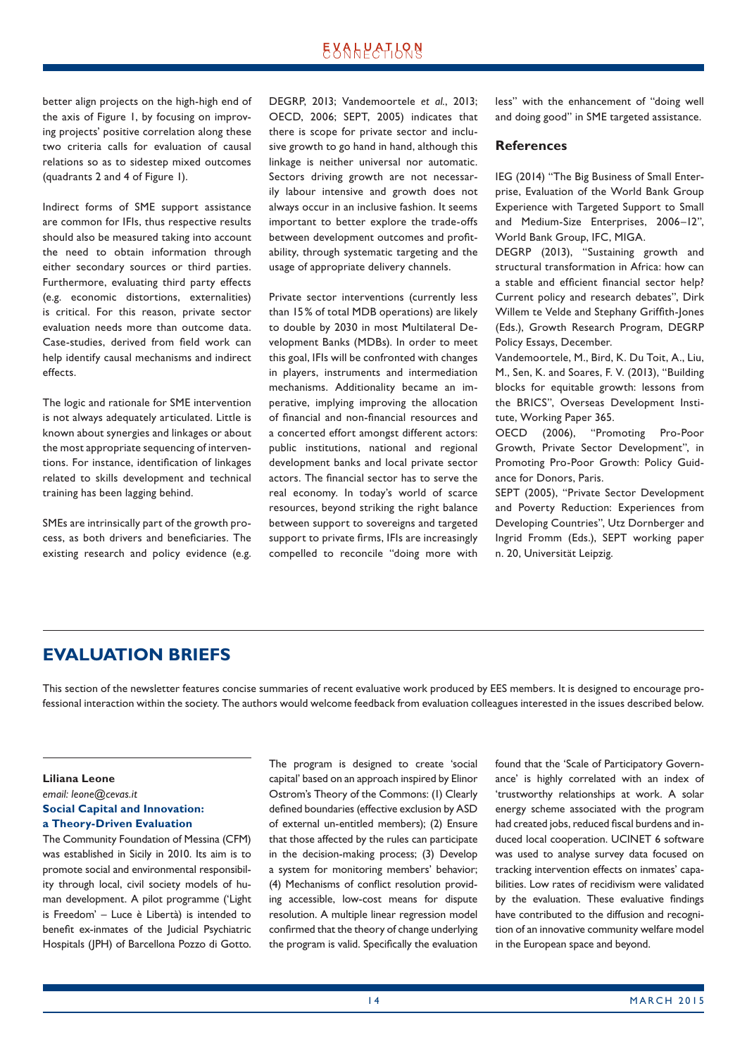better align projects on the high-high end of the axis of Figure 1, by focusing on improving projects' positive correlation along these two criteria calls for evaluation of causal relations so as to sidestep mixed outcomes (quadrants 2 and 4 of Figure 1).

Indirect forms of SME support assistance are common for IFIs, thus respective results should also be measured taking into account the need to obtain information through either secondary sources or third parties. Furthermore, evaluating third party effects (e.g. economic distortions, externalities) is critical. For this reason, private sector evaluation needs more than outcome data. Case-studies, derived from field work can help identify causal mechanisms and indirect effects.

The logic and rationale for SME intervention is not always adequately articulated. Little is known about synergies and linkages or about the most appropriate sequencing of interventions. For instance, identification of linkages related to skills development and technical training has been lagging behind.

SMEs are intrinsically part of the growth process, as both drivers and beneficiaries. The existing research and policy evidence (e.g. DEGRP, 2013; Vandemoortele *et al.*, 2013; OECD, 2006; SEPT, 2005) indicates that there is scope for private sector and inclusive growth to go hand in hand, although this linkage is neither universal nor automatic. Sectors driving growth are not necessarily labour intensive and growth does not always occur in an inclusive fashion. It seems important to better explore the trade-offs between development outcomes and profitability, through systematic targeting and the usage of appropriate delivery channels.

Private sector interventions (currently less than 15 % of total MDB operations) are likely to double by 2030 in most Multilateral Development Banks (MDBs). In order to meet this goal, IFIs will be confronted with changes in players, instruments and intermediation mechanisms. Additionality became an imperative, implying improving the allocation of financial and non-financial resources and a concerted effort amongst different actors: public institutions, national and regional development banks and local private sector actors. The financial sector has to serve the real economy. In today's world of scarce resources, beyond striking the right balance between support to sovereigns and targeted support to private firms, IFIs are increasingly compelled to reconcile "doing more with less" with the enhancement of "doing well and doing good" in SME targeted assistance.

#### **References**

IEG (2014) "The Big Business of Small Enterprise, Evaluation of the World Bank Group Experience with Targeted Support to Small and Medium-Size Enterprises, 2006–12", World Bank Group, IFC, MIGA.

DEGRP (2013), "Sustaining growth and structural transformation in Africa: how can a stable and efficient financial sector help? Current policy and research debates", Dirk Willem te Velde and Stephany Griffith-Jones (Eds.), Growth Research Program, DEGRP Policy Essays, December.

Vandemoortele, M., Bird, K. Du Toit, A., Liu, M., Sen, K. and Soares, F. V. (2013), "Building blocks for equitable growth: lessons from the BRICS", Overseas Development Institute, Working Paper 365.

OECD (2006), "Promoting Pro-Poor Growth, Private Sector Development", in Promoting Pro-Poor Growth: Policy Guidance for Donors, Paris.

SEPT (2005), "Private Sector Development and Poverty Reduction: Experiences from Developing Countries", Utz Dornberger and Ingrid Fromm (Eds.), SEPT working paper n. 20, Universität Leipzig.

# **EVALUATION BRIEFS**

This section of the newsletter features concise summaries of recent evaluative work produced by EES members. It is designed to encourage professional interaction within the society. The authors would welcome feedback from evaluation colleagues interested in the issues described below.

## **Liliana Leone** *email: leone@cevas.it* **Social Capital and Innovation: a Theory-Driven Evaluation**

The Community Foundation of Messina (CFM) was established in Sicily in 2010. Its aim is to promote social and environmental responsibility through local, civil society models of human development. A pilot programme ('Light is Freedom' – Luce è Libertà) is intended to benefit ex-inmates of the Judicial Psychiatric Hospitals (JPH) of Barcellona Pozzo di Gotto. The program is designed to create 'social capital' based on an approach inspired by Elinor Ostrom's Theory of the Commons: (1) Clearly defined boundaries (effective exclusion by ASD of external un-entitled members); (2) Ensure that those affected by the rules can participate in the decision-making process; (3) Develop a system for monitoring members' behavior; (4) Mechanisms of conflict resolution providing accessible, low-cost means for dispute resolution. A multiple linear regression model confirmed that the theory of change underlying the program is valid. Specifically the evaluation found that the 'Scale of Participatory Governance' is highly correlated with an index of 'trustworthy relationships at work. A solar energy scheme associated with the program had created jobs, reduced fiscal burdens and induced local cooperation. UCINET 6 software was used to analyse survey data focused on tracking intervention effects on inmates' capabilities. Low rates of recidivism were validated by the evaluation. These evaluative findings have contributed to the diffusion and recognition of an innovative community welfare model in the European space and beyond.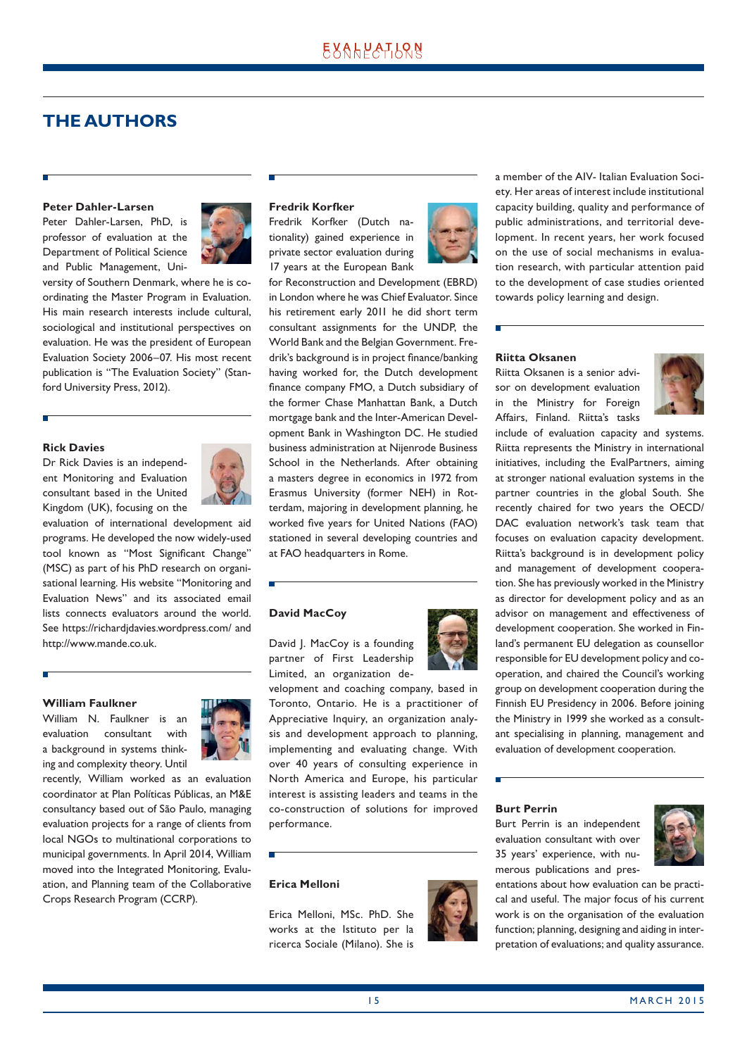## **THE AUTHORS**

#### **Peter Dahler-Larsen**

Peter Dahler-Larsen, PhD, is professor of evaluation at the Department of Political Science and Public Management, Uni-



versity of Southern Denmark, where he is coordinating the Master Program in Evaluation. His main research interests include cultural, sociological and institutional perspectives on evaluation. He was the president of European Evaluation Society 2006–07. His most recent publication is "The Evaluation Society" (Stanford University Press, 2012).

#### **Rick Davies**

 $\blacksquare$ 

Dr Rick Davies is an independent Monitoring and Evaluation consultant based in the United Kingdom (UK), focusing on the



evaluation of international development aid programs. He developed the now widely-used tool known as "Most Significant Change" (MSC) as part of his PhD research on organisational learning. His website "Monitoring and Evaluation News" and its associated email lists connects evaluators around the world. See https://richardjdavies.wordpress.com/ and http://www.mande.co.uk.

#### **William Faulkner**

William N. Faulkner is an evaluation consultant with a background in systems thinking and complexity theory. Until



recently, William worked as an evaluation coordinator at Plan Políticas Públicas, an M&E consultancy based out of São Paulo, managing evaluation projects for a range of clients from local NGOs to multinational corporations to municipal governments. In April 2014, William moved into the Integrated Monitoring, Evaluation, and Planning team of the Collaborative Crops Research Program (CCRP).

#### **Fredrik Korfker**

Fredrik Korfker (Dutch nationality) gained experience in private sector evaluation during 17 years at the European Bank

in London where he was Chief Evaluator. Since his retirement early 2011 he did short term consultant assignments for the UNDP, the World Bank and the Belgian Government. Fredrik's background is in project finance/banking having worked for, the Dutch development finance company FMO, a Dutch subsidiary of the former Chase Manhattan Bank, a Dutch mortgage bank and the Inter-American Development Bank in Washington DC. He studied business administration at Nijenrode Business School in the Netherlands. After obtaining a masters degree in economics in 1972 from Erasmus University (former NEH) in Rotterdam, majoring in development planning, he worked five years for United Nations (FAO) stationed in several developing countries and at FAO headquarters in Rome.

#### **David MacCoy**

David J. MacCoy is a founding partner of First Leadership Limited, an organization de-

velopment and coaching company, based in Toronto, Ontario. He is a practitioner of Appreciative Inquiry, an organization analysis and development approach to planning, implementing and evaluating change. With over 40 years of consulting experience in North America and Europe, his particular interest is assisting leaders and teams in the co-construction of solutions for improved performance.

#### **Erica Melloni**

 $\overline{\phantom{a}}$ 

Erica Melloni, MSc. PhD. She works at the Istituto per la ricerca Sociale (Milano). She is



for Reconstruction and Development (EBRD)



a member of the AIV- Italian Evaluation Society. Her areas of interest include institutional capacity building, quality and performance of public administrations, and territorial development. In recent years, her work focused on the use of social mechanisms in evaluation research, with particular attention paid to the development of case studies oriented towards policy learning and design.

#### **Riitta Oksanen**

Riitta Oksanen is a senior advisor on development evaluation in the Ministry for Foreign Affairs, Finland. Riitta's tasks



include of evaluation capacity and systems. Riitta represents the Ministry in international initiatives, including the EvalPartners, aiming at stronger national evaluation systems in the partner countries in the global South. She recently chaired for two years the OECD/ DAC evaluation network's task team that focuses on evaluation capacity development. Riitta's background is in development policy and management of development cooperation. She has previously worked in the Ministry as director for development policy and as an advisor on management and effectiveness of development cooperation. She worked in Finland's permanent EU delegation as counsellor responsible for EU development policy and cooperation, and chaired the Council's working group on development cooperation during the Finnish EU Presidency in 2006. Before joining the Ministry in 1999 she worked as a consultant specialising in planning, management and evaluation of development cooperation.

#### **Burt Perrin**

Burt Perrin is an independent evaluation consultant with over 35 years' experience, with numerous publications and pres-



entations about how evaluation can be practical and useful. The major focus of his current work is on the organisation of the evaluation function; planning, designing and aiding in interpretation of evaluations; and quality assurance.